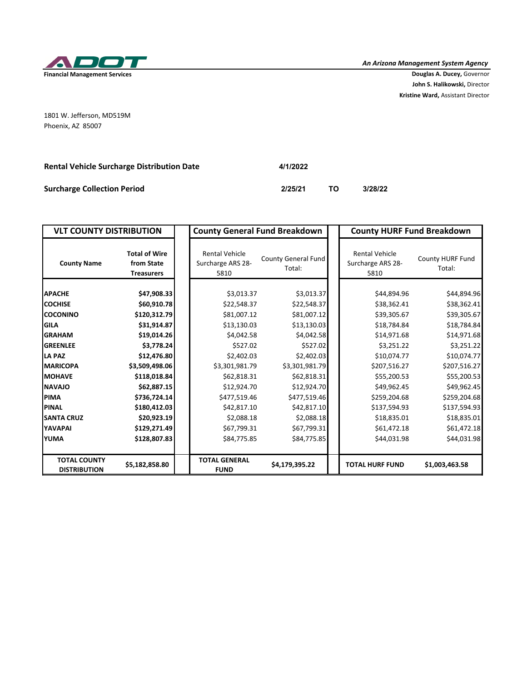

*An Arizona Management System Agency*

**John S. Halikowski,** Director **Kristine Ward,** Assistant Director

1801 W. Jefferson, MD519M Phoenix, AZ 85007

| <b>Rental Vehicle Surcharge Distribution Date</b> | 4/1/2022 |    |         |
|---------------------------------------------------|----------|----|---------|
| <b>Surcharge Collection Period</b>                | 2/25/21  | тο | 3/28/22 |

| <b>VLT COUNTY DISTRIBUTION</b>             |                                                         | <b>County General Fund Breakdown</b>               |                               | <b>County HURF Fund Breakdown</b>                  |                            |  |
|--------------------------------------------|---------------------------------------------------------|----------------------------------------------------|-------------------------------|----------------------------------------------------|----------------------------|--|
| <b>County Name</b>                         | <b>Total of Wire</b><br>from State<br><b>Treasurers</b> | <b>Rental Vehicle</b><br>Surcharge ARS 28-<br>5810 | County General Fund<br>Total: | <b>Rental Vehicle</b><br>Surcharge ARS 28-<br>5810 | County HURF Fund<br>Total: |  |
| <b>APACHE</b>                              | \$47,908.33                                             | \$3,013.37                                         | \$3,013.37                    | \$44,894.96                                        | \$44,894.96                |  |
| <b>COCHISE</b>                             | \$60,910.78                                             | \$22,548.37                                        | \$22,548.37                   | \$38,362.41                                        | \$38,362.41                |  |
| <b>COCONINO</b>                            | \$120,312.79                                            | \$81,007.12                                        | \$81,007.12                   | \$39,305.67                                        | \$39,305.67                |  |
| <b>I</b> GILA                              | \$31,914.87                                             | \$13,130.03                                        | \$13,130.03                   | \$18,784.84                                        | \$18,784.84                |  |
| <b>GRAHAM</b>                              | \$19,014.26                                             | \$4,042.58                                         | \$4,042.58                    | \$14,971.68                                        | \$14,971.68                |  |
| <b>GREENLEE</b>                            | \$3,778.24                                              | \$527.02                                           | \$527.02                      | \$3,251.22                                         | \$3,251.22                 |  |
| <b>LA PAZ</b>                              | \$12,476.80                                             | \$2,402.03                                         | \$2,402.03                    | \$10,074.77                                        | \$10,074.77                |  |
| <b>MARICOPA</b>                            | \$3,509,498.06                                          | \$3,301,981.79                                     | \$3,301,981.79                | \$207,516.27                                       | \$207,516.27               |  |
| <b>IMOHAVE</b>                             | \$118,018.84                                            | \$62,818.31                                        | \$62,818.31                   | \$55,200.53                                        | \$55,200.53                |  |
| <b>NAVAJO</b>                              | \$62,887.15                                             | \$12,924.70                                        | \$12,924.70                   | \$49,962.45                                        | \$49,962.45                |  |
| <b>IPIMA</b>                               | \$736,724.14                                            | \$477,519.46                                       | \$477,519.46                  | \$259,204.68                                       | \$259,204.68               |  |
| <b>PINAL</b>                               | \$180,412.03                                            | \$42,817.10                                        | \$42,817.10                   | \$137,594.93                                       | \$137,594.93               |  |
| <b>SANTA CRUZ</b>                          | \$20,923.19                                             | \$2,088.18                                         | \$2,088.18                    | \$18,835.01                                        | \$18,835.01                |  |
| <b>YAVAPAI</b>                             | \$129,271.49                                            | \$67,799.31                                        | \$67,799.31                   | \$61,472.18                                        | \$61,472.18                |  |
| <b>YUMA</b>                                | \$128,807.83                                            | \$84,775.85                                        | \$84,775.85                   | \$44,031.98                                        | \$44,031.98                |  |
| <b>TOTAL COUNTY</b><br><b>DISTRIBUTION</b> | \$5,182,858.80                                          | <b>TOTAL GENERAL</b><br><b>FUND</b>                | \$4,179,395.22                | <b>TOTAL HURF FUND</b>                             | \$1,003,463.58             |  |